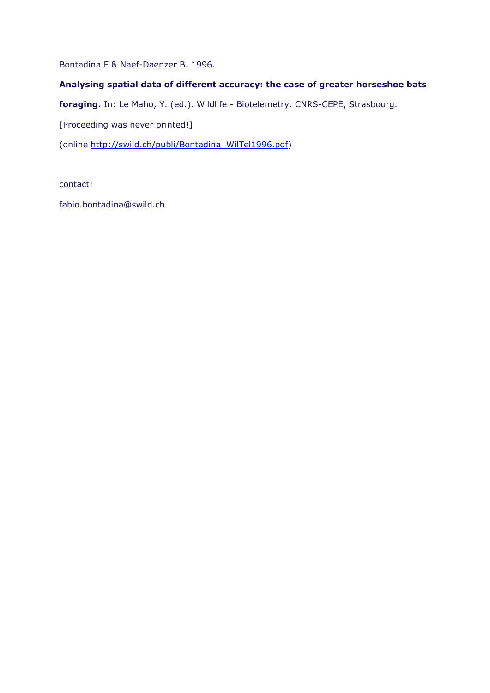Bontadina F & Naef-Daenzer B. 1996.

## **Analysing spatial data of different accuracy: the case of greater horseshoe bats**

**foraging.** In: Le Maho, Y. (ed.). Wildlife - Biotelemetry. CNRS-CEPE, Strasbourg.

[Proceeding was never printed!]

(online [http://swild.ch/publi/Bontadina\\_WilTel1996.pdf\)](http://swild.ch/publi/Bontadina_WilTel1996.pdf)

contact:

fabio.bontadina@swild.ch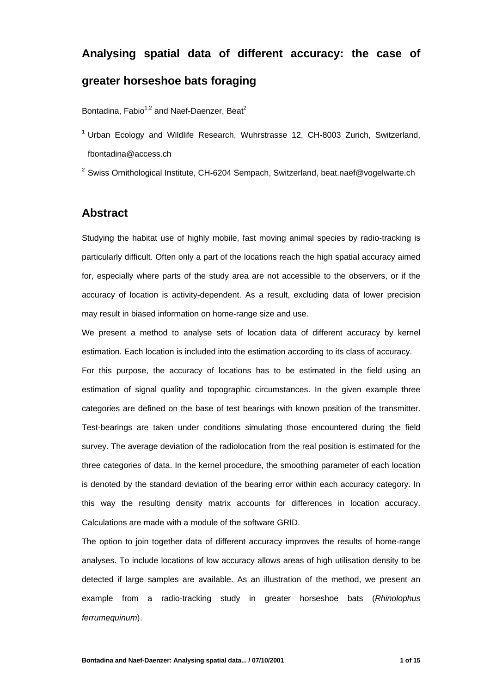# **Analysing spatial data of different accuracy: the case of greater horseshoe bats foraging**

Bontadina,  $Fabio<sup>1,2</sup>$  and Naef-Daenzer, Beat<sup>2</sup>

 $1$  Urban Ecology and Wildlife Research, Wuhrstrasse 12, CH-8003 Zurich, Switzerland, fbontadina@access.ch

 $2$  Swiss Ornithological Institute, CH-6204 Sempach, Switzerland, beat.naef@vogelwarte.ch

# **Abstract**

Studying the habitat use of highly mobile, fast moving animal species by radio-tracking is particularly difficult. Often only a part of the locations reach the high spatial accuracy aimed for, especially where parts of the study area are not accessible to the observers, or if the accuracy of location is activity-dependent. As a result, excluding data of lower precision may result in biased information on home-range size and use.

We present a method to analyse sets of location data of different accuracy by kernel estimation. Each location is included into the estimation according to its class of accuracy.

For this purpose, the accuracy of locations has to be estimated in the field using an estimation of signal quality and topographic circumstances. In the given example three categories are defined on the base of test bearings with known position of the transmitter. Test-bearings are taken under conditions simulating those encountered during the field survey. The average deviation of the radiolocation from the real position is estimated for the three categories of data. In the kernel procedure, the smoothing parameter of each location is denoted by the standard deviation of the bearing error within each accuracy category. In this way the resulting density matrix accounts for differences in location accuracy. Calculations are made with a module of the software GRID.

The option to join together data of different accuracy improves the results of home-range analyses. To include locations of low accuracy allows areas of high utilisation density to be detected if large samples are available. As an illustration of the method, we present an example from a radio-tracking study in greater horseshoe bats (*Rhinolophus ferrumequinum*).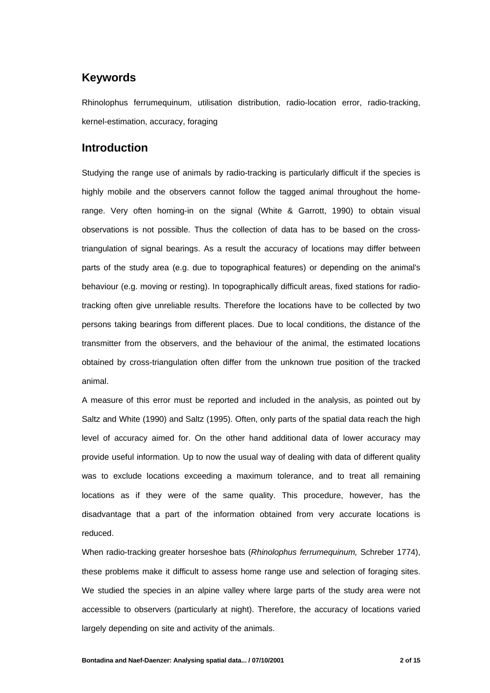# **Keywords**

Rhinolophus ferrumequinum, utilisation distribution, radio-location error, radio-tracking, kernel-estimation, accuracy, foraging

# **Introduction**

Studying the range use of animals by radio-tracking is particularly difficult if the species is highly mobile and the observers cannot follow the tagged animal throughout the homerange. Very often homing-in on the signal (White & Garrott, 1990) to obtain visual observations is not possible. Thus the collection of data has to be based on the crosstriangulation of signal bearings. As a result the accuracy of locations may differ between parts of the study area (e.g. due to topographical features) or depending on the animal's behaviour (e.g. moving or resting). In topographically difficult areas, fixed stations for radiotracking often give unreliable results. Therefore the locations have to be collected by two persons taking bearings from different places. Due to local conditions, the distance of the transmitter from the observers, and the behaviour of the animal, the estimated locations obtained by cross-triangulation often differ from the unknown true position of the tracked animal.

A measure of this error must be reported and included in the analysis, as pointed out by Saltz and White (1990) and Saltz (1995). Often, only parts of the spatial data reach the high level of accuracy aimed for. On the other hand additional data of lower accuracy may provide useful information. Up to now the usual way of dealing with data of different quality was to exclude locations exceeding a maximum tolerance, and to treat all remaining locations as if they were of the same quality. This procedure, however, has the disadvantage that a part of the information obtained from very accurate locations is reduced.

When radio-tracking greater horseshoe bats (*Rhinolophus ferrumequinum,* Schreber 1774), these problems make it difficult to assess home range use and selection of foraging sites. We studied the species in an alpine valley where large parts of the study area were not accessible to observers (particularly at night). Therefore, the accuracy of locations varied largely depending on site and activity of the animals.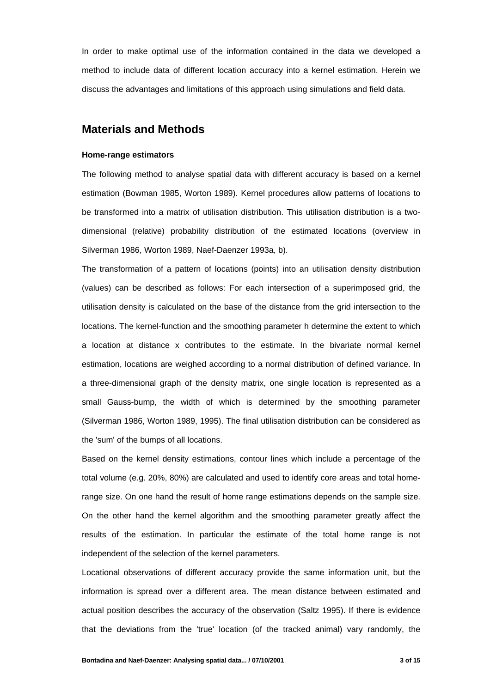In order to make optimal use of the information contained in the data we developed a method to include data of different location accuracy into a kernel estimation. Herein we discuss the advantages and limitations of this approach using simulations and field data.

## **Materials and Methods**

#### **Home-range estimators**

The following method to analyse spatial data with different accuracy is based on a kernel estimation (Bowman 1985, Worton 1989). Kernel procedures allow patterns of locations to be transformed into a matrix of utilisation distribution. This utilisation distribution is a twodimensional (relative) probability distribution of the estimated locations (overview in Silverman 1986, Worton 1989, Naef-Daenzer 1993a, b).

The transformation of a pattern of locations (points) into an utilisation density distribution (values) can be described as follows: For each intersection of a superimposed grid, the utilisation density is calculated on the base of the distance from the grid intersection to the locations. The kernel-function and the smoothing parameter h determine the extent to which a location at distance x contributes to the estimate. In the bivariate normal kernel estimation, locations are weighed according to a normal distribution of defined variance. In a three-dimensional graph of the density matrix, one single location is represented as a small Gauss-bump, the width of which is determined by the smoothing parameter (Silverman 1986, Worton 1989, 1995). The final utilisation distribution can be considered as the 'sum' of the bumps of all locations.

Based on the kernel density estimations, contour lines which include a percentage of the total volume (e.g. 20%, 80%) are calculated and used to identify core areas and total homerange size. On one hand the result of home range estimations depends on the sample size. On the other hand the kernel algorithm and the smoothing parameter greatly affect the results of the estimation. In particular the estimate of the total home range is not independent of the selection of the kernel parameters.

Locational observations of different accuracy provide the same information unit, but the information is spread over a different area. The mean distance between estimated and actual position describes the accuracy of the observation (Saltz 1995). If there is evidence that the deviations from the 'true' location (of the tracked animal) vary randomly, the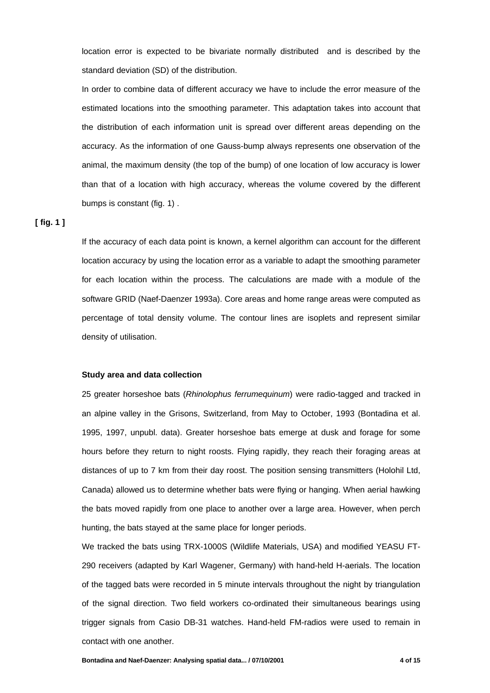location error is expected to be bivariate normally distributed and is described by the standard deviation (SD) of the distribution.

In order to combine data of different accuracy we have to include the error measure of the estimated locations into the smoothing parameter. This adaptation takes into account that the distribution of each information unit is spread over different areas depending on the accuracy. As the information of one Gauss-bump always represents one observation of the animal, the maximum density (the top of the bump) of one location of low accuracy is lower than that of a location with high accuracy, whereas the volume covered by the different bumps is constant (fig. 1) .

### **[ fig. 1 ]**

If the accuracy of each data point is known, a kernel algorithm can account for the different location accuracy by using the location error as a variable to adapt the smoothing parameter for each location within the process. The calculations are made with a module of the software GRID (Naef-Daenzer 1993a). Core areas and home range areas were computed as percentage of total density volume. The contour lines are isoplets and represent similar density of utilisation.

#### **Study area and data collection**

25 greater horseshoe bats (*Rhinolophus ferrumequinum*) were radio-tagged and tracked in an alpine valley in the Grisons, Switzerland, from May to October, 1993 (Bontadina et al. 1995, 1997, unpubl. data). Greater horseshoe bats emerge at dusk and forage for some hours before they return to night roosts. Flying rapidly, they reach their foraging areas at distances of up to 7 km from their day roost. The position sensing transmitters (Holohil Ltd, Canada) allowed us to determine whether bats were flying or hanging. When aerial hawking the bats moved rapidly from one place to another over a large area. However, when perch hunting, the bats stayed at the same place for longer periods.

We tracked the bats using TRX-1000S (Wildlife Materials, USA) and modified YEASU FT-290 receivers (adapted by Karl Wagener, Germany) with hand-held H-aerials. The location of the tagged bats were recorded in 5 minute intervals throughout the night by triangulation of the signal direction. Two field workers co-ordinated their simultaneous bearings using trigger signals from Casio DB-31 watches. Hand-held FM-radios were used to remain in contact with one another.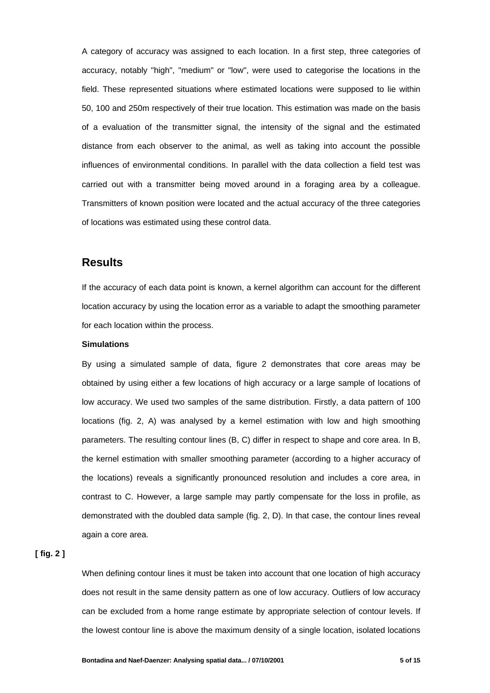A category of accuracy was assigned to each location. In a first step, three categories of accuracy, notably "high", "medium" or "low", were used to categorise the locations in the field. These represented situations where estimated locations were supposed to lie within 50, 100 and 250m respectively of their true location. This estimation was made on the basis of a evaluation of the transmitter signal, the intensity of the signal and the estimated distance from each observer to the animal, as well as taking into account the possible influences of environmental conditions. In parallel with the data collection a field test was carried out with a transmitter being moved around in a foraging area by a colleague. Transmitters of known position were located and the actual accuracy of the three categories of locations was estimated using these control data.

## **Results**

If the accuracy of each data point is known, a kernel algorithm can account for the different location accuracy by using the location error as a variable to adapt the smoothing parameter for each location within the process.

#### **Simulations**

By using a simulated sample of data, figure 2 demonstrates that core areas may be obtained by using either a few locations of high accuracy or a large sample of locations of low accuracy. We used two samples of the same distribution. Firstly, a data pattern of 100 locations (fig. 2, A) was analysed by a kernel estimation with low and high smoothing parameters. The resulting contour lines (B, C) differ in respect to shape and core area. In B, the kernel estimation with smaller smoothing parameter (according to a higher accuracy of the locations) reveals a significantly pronounced resolution and includes a core area, in contrast to C. However, a large sample may partly compensate for the loss in profile, as demonstrated with the doubled data sample (fig. 2, D). In that case, the contour lines reveal again a core area.

**[ fig. 2 ]**

When defining contour lines it must be taken into account that one location of high accuracy does not result in the same density pattern as one of low accuracy. Outliers of low accuracy can be excluded from a home range estimate by appropriate selection of contour levels. If the lowest contour line is above the maximum density of a single location, isolated locations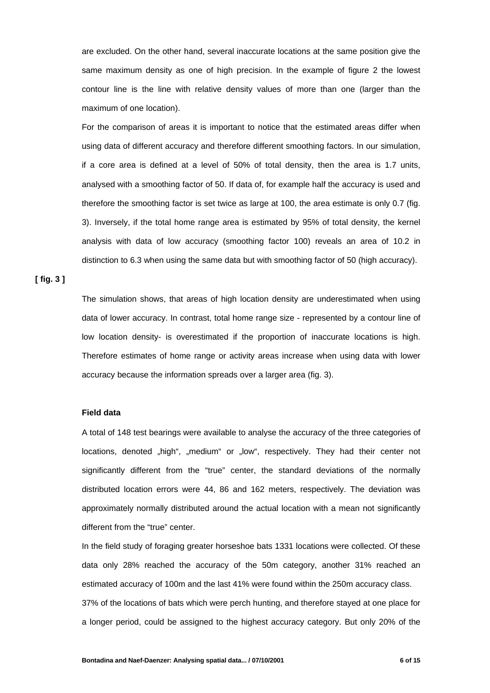are excluded. On the other hand, several inaccurate locations at the same position give the same maximum density as one of high precision. In the example of figure 2 the lowest contour line is the line with relative density values of more than one (larger than the maximum of one location).

For the comparison of areas it is important to notice that the estimated areas differ when using data of different accuracy and therefore different smoothing factors. In our simulation, if a core area is defined at a level of 50% of total density, then the area is 1.7 units, analysed with a smoothing factor of 50. If data of, for example half the accuracy is used and therefore the smoothing factor is set twice as large at 100, the area estimate is only 0.7 (fig. 3). Inversely, if the total home range area is estimated by 95% of total density, the kernel analysis with data of low accuracy (smoothing factor 100) reveals an area of 10.2 in distinction to 6.3 when using the same data but with smoothing factor of 50 (high accuracy).

**[ fig. 3 ]**

The simulation shows, that areas of high location density are underestimated when using data of lower accuracy. In contrast, total home range size - represented by a contour line of low location density- is overestimated if the proportion of inaccurate locations is high. Therefore estimates of home range or activity areas increase when using data with lower accuracy because the information spreads over a larger area (fig. 3).

#### **Field data**

A total of 148 test bearings were available to analyse the accuracy of the three categories of locations, denoted "high", "medium" or "low", respectively. They had their center not significantly different from the "true" center, the standard deviations of the normally distributed location errors were 44, 86 and 162 meters, respectively. The deviation was approximately normally distributed around the actual location with a mean not significantly different from the "true" center.

In the field study of foraging greater horseshoe bats 1331 locations were collected. Of these data only 28% reached the accuracy of the 50m category, another 31% reached an estimated accuracy of 100m and the last 41% were found within the 250m accuracy class. 37% of the locations of bats which were perch hunting, and therefore stayed at one place for

a longer period, could be assigned to the highest accuracy category. But only 20% of the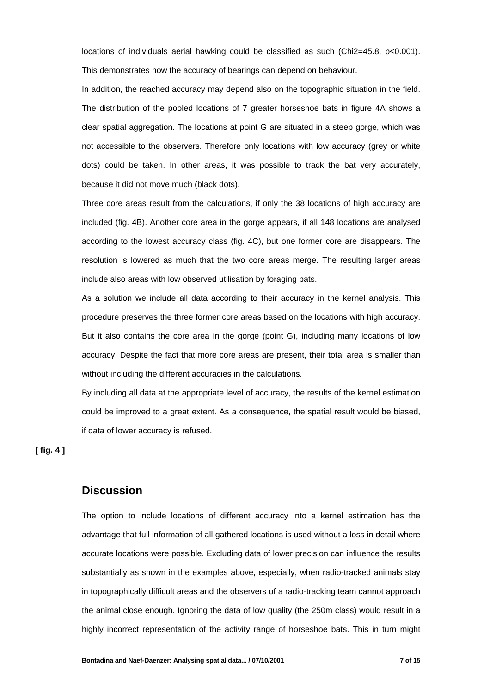locations of individuals aerial hawking could be classified as such (Chi2=45.8, p<0.001). This demonstrates how the accuracy of bearings can depend on behaviour.

In addition, the reached accuracy may depend also on the topographic situation in the field. The distribution of the pooled locations of 7 greater horseshoe bats in figure 4A shows a clear spatial aggregation. The locations at point G are situated in a steep gorge, which was not accessible to the observers. Therefore only locations with low accuracy (grey or white dots) could be taken. In other areas, it was possible to track the bat very accurately, because it did not move much (black dots).

Three core areas result from the calculations, if only the 38 locations of high accuracy are included (fig. 4B). Another core area in the gorge appears, if all 148 locations are analysed according to the lowest accuracy class (fig. 4C), but one former core are disappears. The resolution is lowered as much that the two core areas merge. The resulting larger areas include also areas with low observed utilisation by foraging bats.

As a solution we include all data according to their accuracy in the kernel analysis. This procedure preserves the three former core areas based on the locations with high accuracy. But it also contains the core area in the gorge (point G), including many locations of low accuracy. Despite the fact that more core areas are present, their total area is smaller than without including the different accuracies in the calculations.

By including all data at the appropriate level of accuracy, the results of the kernel estimation could be improved to a great extent. As a consequence, the spatial result would be biased, if data of lower accuracy is refused.

**[ fig. 4 ]**

## **Discussion**

The option to include locations of different accuracy into a kernel estimation has the advantage that full information of all gathered locations is used without a loss in detail where accurate locations were possible. Excluding data of lower precision can influence the results substantially as shown in the examples above, especially, when radio-tracked animals stay in topographically difficult areas and the observers of a radio-tracking team cannot approach the animal close enough. Ignoring the data of low quality (the 250m class) would result in a highly incorrect representation of the activity range of horseshoe bats. This in turn might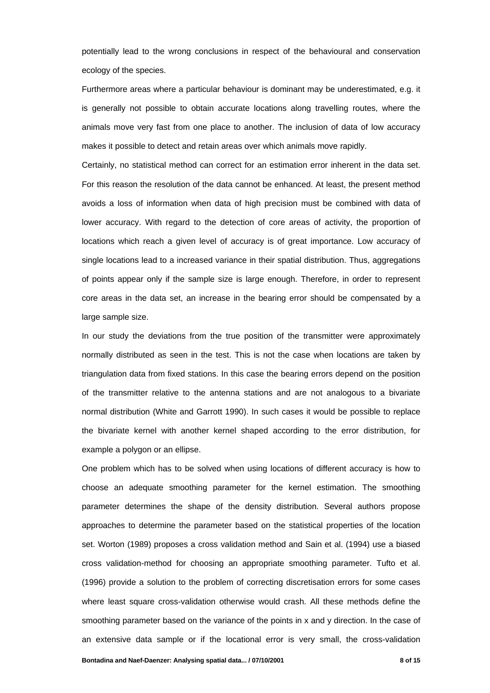potentially lead to the wrong conclusions in respect of the behavioural and conservation ecology of the species.

Furthermore areas where a particular behaviour is dominant may be underestimated, e.g. it is generally not possible to obtain accurate locations along travelling routes, where the animals move very fast from one place to another. The inclusion of data of low accuracy makes it possible to detect and retain areas over which animals move rapidly.

Certainly, no statistical method can correct for an estimation error inherent in the data set. For this reason the resolution of the data cannot be enhanced. At least, the present method avoids a loss of information when data of high precision must be combined with data of lower accuracy. With regard to the detection of core areas of activity, the proportion of locations which reach a given level of accuracy is of great importance. Low accuracy of single locations lead to a increased variance in their spatial distribution. Thus, aggregations of points appear only if the sample size is large enough. Therefore, in order to represent core areas in the data set, an increase in the bearing error should be compensated by a large sample size.

In our study the deviations from the true position of the transmitter were approximately normally distributed as seen in the test. This is not the case when locations are taken by triangulation data from fixed stations. In this case the bearing errors depend on the position of the transmitter relative to the antenna stations and are not analogous to a bivariate normal distribution (White and Garrott 1990). In such cases it would be possible to replace the bivariate kernel with another kernel shaped according to the error distribution, for example a polygon or an ellipse.

One problem which has to be solved when using locations of different accuracy is how to choose an adequate smoothing parameter for the kernel estimation. The smoothing parameter determines the shape of the density distribution. Several authors propose approaches to determine the parameter based on the statistical properties of the location set. Worton (1989) proposes a cross validation method and Sain et al. (1994) use a biased cross validation-method for choosing an appropriate smoothing parameter. Tufto et al. (1996) provide a solution to the problem of correcting discretisation errors for some cases where least square cross-validation otherwise would crash. All these methods define the smoothing parameter based on the variance of the points in x and y direction. In the case of an extensive data sample or if the locational error is very small, the cross-validation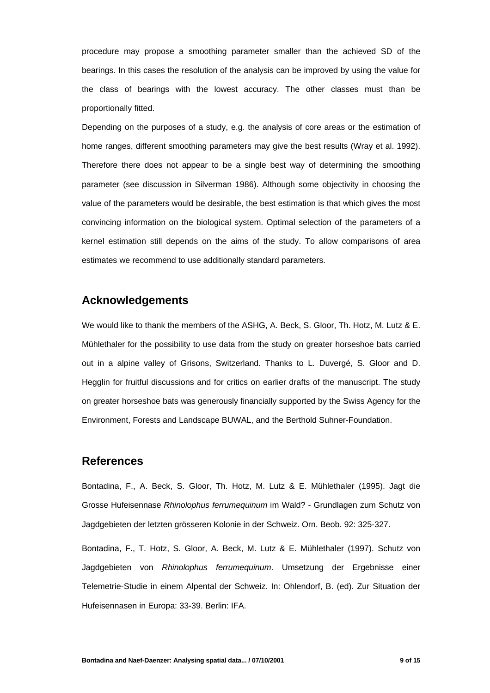procedure may propose a smoothing parameter smaller than the achieved SD of the bearings. In this cases the resolution of the analysis can be improved by using the value for the class of bearings with the lowest accuracy. The other classes must than be proportionally fitted.

Depending on the purposes of a study, e.g. the analysis of core areas or the estimation of home ranges, different smoothing parameters may give the best results (Wray et al. 1992). Therefore there does not appear to be a single best way of determining the smoothing parameter (see discussion in Silverman 1986). Although some objectivity in choosing the value of the parameters would be desirable, the best estimation is that which gives the most convincing information on the biological system. Optimal selection of the parameters of a kernel estimation still depends on the aims of the study. To allow comparisons of area estimates we recommend to use additionally standard parameters.

## **Acknowledgements**

We would like to thank the members of the ASHG, A. Beck, S. Gloor, Th. Hotz, M. Lutz & E. Mühlethaler for the possibility to use data from the study on greater horseshoe bats carried out in a alpine valley of Grisons, Switzerland. Thanks to L. Duvergé, S. Gloor and D. Hegglin for fruitful discussions and for critics on earlier drafts of the manuscript. The study on greater horseshoe bats was generously financially supported by the Swiss Agency for the Environment, Forests and Landscape BUWAL, and the Berthold Suhner-Foundation.

## **References**

Bontadina, F., A. Beck, S. Gloor, Th. Hotz, M. Lutz & E. Mühlethaler (1995). Jagt die Grosse Hufeisennase *Rhinolophus ferrumequinum* im Wald? - Grundlagen zum Schutz von Jagdgebieten der letzten grösseren Kolonie in der Schweiz. Orn. Beob. 92: 325-327.

Bontadina, F., T. Hotz, S. Gloor, A. Beck, M. Lutz & E. Mühlethaler (1997). Schutz von Jagdgebieten von *Rhinolophus ferrumequinum*. Umsetzung der Ergebnisse einer Telemetrie-Studie in einem Alpental der Schweiz. In: Ohlendorf, B. (ed). Zur Situation der Hufeisennasen in Europa: 33-39. Berlin: IFA.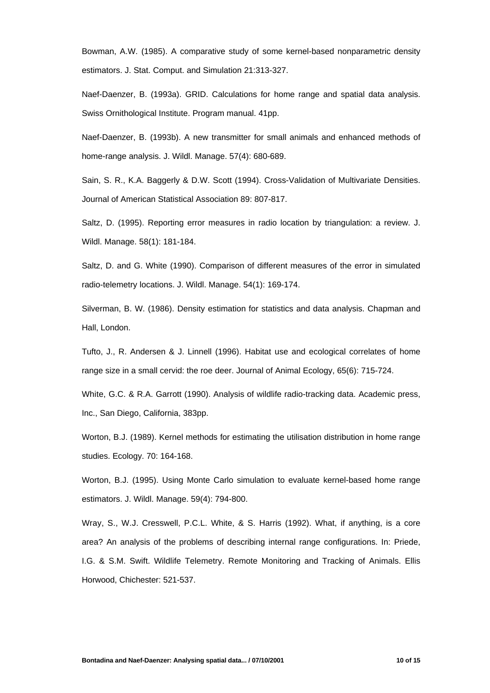Bowman, A.W. (1985). A comparative study of some kernel-based nonparametric density estimators. J. Stat. Comput. and Simulation 21:313-327.

Naef-Daenzer, B. (1993a). GRID. Calculations for home range and spatial data analysis. Swiss Ornithological Institute. Program manual. 41pp.

Naef-Daenzer, B. (1993b). A new transmitter for small animals and enhanced methods of home-range analysis. J. Wildl. Manage. 57(4): 680-689.

Sain, S. R., K.A. Baggerly & D.W. Scott (1994). Cross-Validation of Multivariate Densities. Journal of American Statistical Association 89: 807-817.

Saltz, D. (1995). Reporting error measures in radio location by triangulation: a review. J. Wildl. Manage. 58(1): 181-184.

Saltz, D. and G. White (1990). Comparison of different measures of the error in simulated radio-telemetry locations. J. Wildl. Manage. 54(1): 169-174.

Silverman, B. W. (1986). Density estimation for statistics and data analysis. Chapman and Hall, London.

Tufto, J., R. Andersen & J. Linnell (1996). Habitat use and ecological correlates of home range size in a small cervid: the roe deer. Journal of Animal Ecology, 65(6): 715-724.

White, G.C. & R.A. Garrott (1990). Analysis of wildlife radio-tracking data. Academic press, Inc., San Diego, California, 383pp.

Worton, B.J. (1989). Kernel methods for estimating the utilisation distribution in home range studies. Ecology. 70: 164-168.

Worton, B.J. (1995). Using Monte Carlo simulation to evaluate kernel-based home range estimators. J. Wildl. Manage. 59(4): 794-800.

Wray, S., W.J. Cresswell, P.C.L. White, & S. Harris (1992). What, if anything, is a core area? An analysis of the problems of describing internal range configurations. In: Priede, I.G. & S.M. Swift. Wildlife Telemetry. Remote Monitoring and Tracking of Animals. Ellis Horwood, Chichester: 521-537.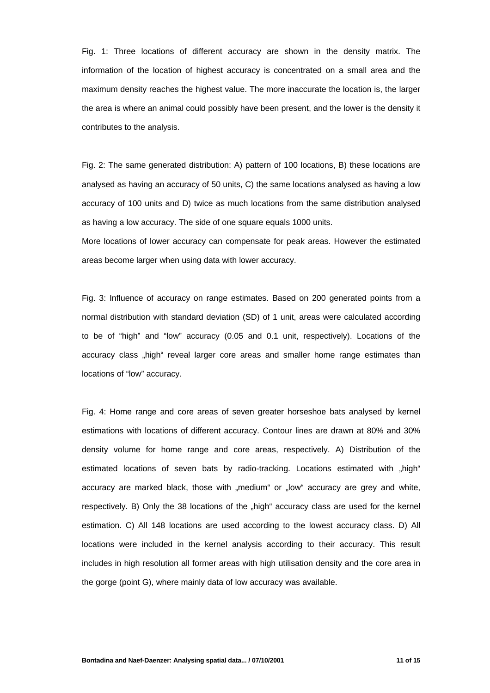Fig. 1: Three locations of different accuracy are shown in the density matrix. The information of the location of highest accuracy is concentrated on a small area and the maximum density reaches the highest value. The more inaccurate the location is, the larger the area is where an animal could possibly have been present, and the lower is the density it contributes to the analysis.

Fig. 2: The same generated distribution: A) pattern of 100 locations, B) these locations are analysed as having an accuracy of 50 units, C) the same locations analysed as having a low accuracy of 100 units and D) twice as much locations from the same distribution analysed as having a low accuracy. The side of one square equals 1000 units.

More locations of lower accuracy can compensate for peak areas. However the estimated areas become larger when using data with lower accuracy.

Fig. 3: Influence of accuracy on range estimates. Based on 200 generated points from a normal distribution with standard deviation (SD) of 1 unit, areas were calculated according to be of "high" and "low" accuracy (0.05 and 0.1 unit, respectively). Locations of the accuracy class "high" reveal larger core areas and smaller home range estimates than locations of "low" accuracy.

Fig. 4: Home range and core areas of seven greater horseshoe bats analysed by kernel estimations with locations of different accuracy. Contour lines are drawn at 80% and 30% density volume for home range and core areas, respectively. A) Distribution of the estimated locations of seven bats by radio-tracking. Locations estimated with "high" accuracy are marked black, those with "medium" or "low" accuracy are grey and white, respectively. B) Only the 38 locations of the "high" accuracy class are used for the kernel estimation. C) All 148 locations are used according to the lowest accuracy class. D) All locations were included in the kernel analysis according to their accuracy. This result includes in high resolution all former areas with high utilisation density and the core area in the gorge (point G), where mainly data of low accuracy was available.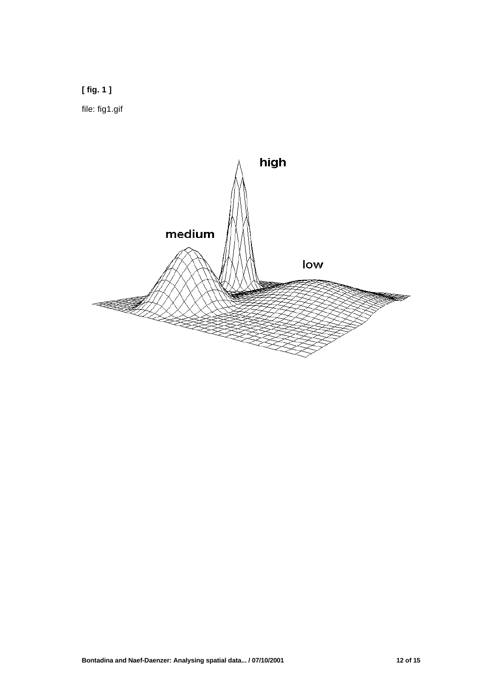

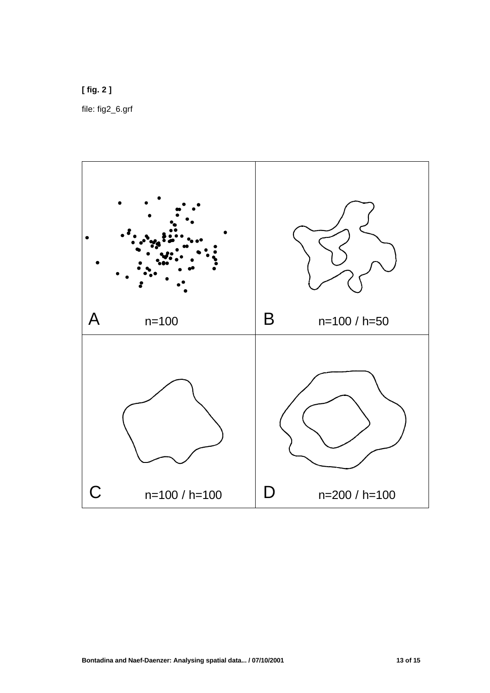**[ fig. 2 ]** file: fig2\_6.grf

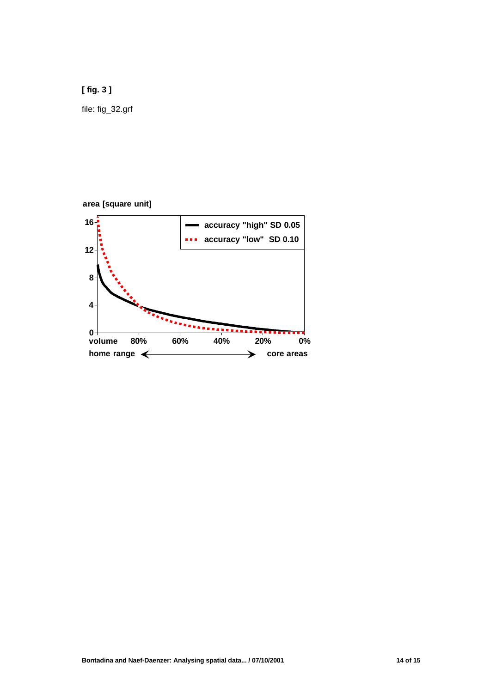**[ fig. 3 ]**

file: fig\_32.grf